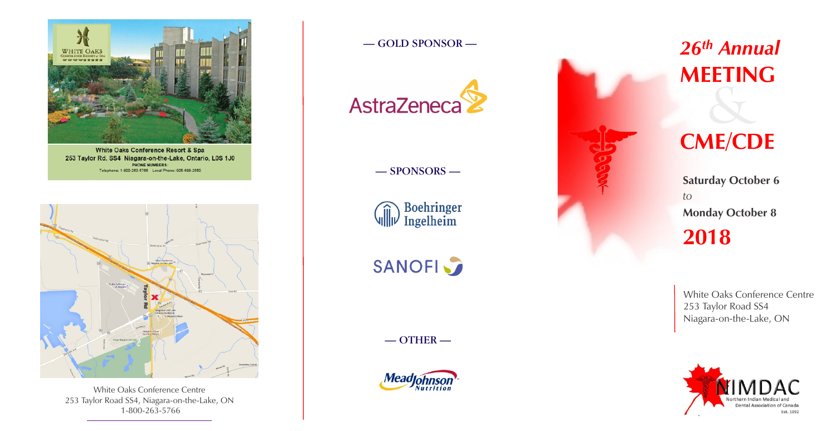

White Oaks Conference Resort & Spa 253 Taylor Rd. SS4 Niagara-on-the-Lake, Ontario, L0S 1J0 **PHONE NUMBERS:** Telephone: 1-800-263-5766 Local Phone: 905-688-2550

# *26th Annual* **MEETING**

# & **CME/CDE**

**2018 Saturday October 6** *to*  **Monday October 8**

## — SPONSORS —

 $\widehat{\text{Hil}}$  Boehringer

# **SANOFI**

 $-$  OTHER  $-$ 



## — GOLD SPONSOR —



White Oaks Conference Centre 253 Taylor Road SS4, Niagara-on-the-Lake, ON



White Oaks Conference Centre 253 Taylor Road SS4 Niagara-on-the-Lake, ON